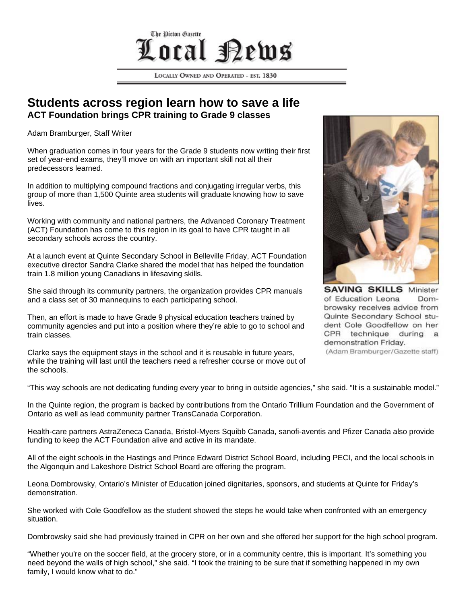## The Dicton Gasette Local **Perus**

LOCALLY OWNED AND OPERATED - EST. 1830

## **Students across region learn how to save a life ACT Foundation brings CPR training to Grade 9 classes**

Adam Bramburger, Staff Writer

When graduation comes in four years for the Grade 9 students now writing their first set of year-end exams, they'll move on with an important skill not all their predecessors learned.

In addition to multiplying compound fractions and conjugating irregular verbs, this group of more than 1,500 Quinte area students will graduate knowing how to save lives.

Working with community and national partners, the Advanced Coronary Treatment (ACT) Foundation has come to this region in its goal to have CPR taught in all secondary schools across the country.

At a launch event at Quinte Secondary School in Belleville Friday, ACT Foundation executive director Sandra Clarke shared the model that has helped the foundation train 1.8 million young Canadians in lifesaving skills.

She said through its community partners, the organization provides CPR manuals and a class set of 30 mannequins to each participating school.

Then, an effort is made to have Grade 9 physical education teachers trained by community agencies and put into a position where they're able to go to school and train classes.

Clarke says the equipment stays in the school and it is reusable in future years, while the training will last until the teachers need a refresher course or move out of the schools.



**SAVING SKILLS Minister** of Education Leona Dombrowsky receives advice from Quinte Secondary School student Cole Goodfellow on her CPR technique during a demonstration Friday. (Adam Bramburger/Gazette staff)

"This way schools are not dedicating funding every year to bring in outside agencies," she said. "It is a sustainable model."

In the Quinte region, the program is backed by contributions from the Ontario Trillium Foundation and the Government of Ontario as well as lead community partner TransCanada Corporation.

Health-care partners AstraZeneca Canada, Bristol-Myers Squibb Canada, sanofi-aventis and Pfizer Canada also provide funding to keep the ACT Foundation alive and active in its mandate.

All of the eight schools in the Hastings and Prince Edward District School Board, including PECI, and the local schools in the Algonquin and Lakeshore District School Board are offering the program.

Leona Dombrowsky, Ontario's Minister of Education joined dignitaries, sponsors, and students at Quinte for Friday's demonstration.

She worked with Cole Goodfellow as the student showed the steps he would take when confronted with an emergency situation.

Dombrowsky said she had previously trained in CPR on her own and she offered her support for the high school program.

"Whether you're on the soccer field, at the grocery store, or in a community centre, this is important. It's something you need beyond the walls of high school," she said. "I took the training to be sure that if something happened in my own family, I would know what to do."